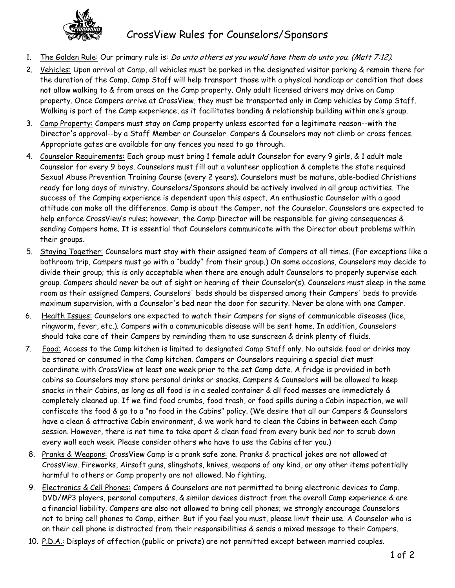

CrossView Rules for Counselors/Sponsors

- 1. The Golden Rule: Our primary rule is: *Do unto others as you would have them do unto you. (Matt 7:12).*
- 2. Vehicles: Upon arrival at Camp, all vehicles must be parked in the designated visitor parking & remain there for the duration of the Camp. Camp Staff will help transport those with a physical handicap or condition that does not allow walking to & from areas on the Camp property. Only adult licensed drivers may drive on Camp property. Once Campers arrive at CrossView, they must be transported only in Camp vehicles by Camp Staff. Walking is part of the Camp experience, as it facilitates bonding & relationship building within one's group.
- 3. Camp Property: Campers must stay on Camp property unless escorted for a legitimate reason--with the Director's approval--by a Staff Member or Counselor. Campers & Counselors may not climb or cross fences. Appropriate gates are available for any fences you need to go through.
- 4. Counselor Requirements: Each group must bring 1 female adult Counselor for every 9 girls, & 1 adult male Counselor for every 9 boys. Counselors must fill out a volunteer application & complete the state required Sexual Abuse Prevention Training Course (every 2 years). Counselors must be mature, able-bodied Christians ready for long days of ministry. Counselors/Sponsors should be actively involved in all group activities. The success of the Camping experience is dependent upon this aspect. An enthusiastic Counselor with a good attitude can make all the difference. Camp is about the Camper, not the Counselor. Counselors are expected to help enforce CrossView's rules; however, the Camp Director will be responsible for giving consequences & sending Campers home. It is essential that Counselors communicate with the Director about problems within their groups.
- 5. Staying Together: Counselors must stay with their assigned team of Campers at all times. (For exceptions like a bathroom trip, Campers must go with a "buddy" from their group.) On some occasions, Counselors may decide to divide their group; this is only acceptable when there are enough adult Counselors to properly supervise each group. Campers should never be out of sight or hearing of their Counselor(s). Counselors must sleep in the same room as their assigned Campers. Counselors' beds should be dispersed among their Campers' beds to provide maximum supervision, with a Counselor's bed near the door for security. Never be alone with one Camper.
- 6. Health Issues: Counselors are expected to watch their Campers for signs of communicable diseases (lice, ringworm, fever, etc.). Campers with a communicable disease will be sent home. In addition, Counselors should take care of their Campers by reminding them to use sunscreen & drink plenty of fluids.
- 7. Food: Access to the Camp kitchen is limited to designated Camp Staff only. No outside food or drinks may be stored or consumed in the Camp kitchen. Campers or Counselors requiring a special diet must coordinate with CrossView at least one week prior to the set Camp date. A fridge is provided in both cabins so Counselors may store personal drinks or snacks. Campers & Counselors will be allowed to keep snacks in their Cabins, as long as all food is in a sealed container & all food messes are immediately & completely cleaned up. If we find food crumbs, food trash, or food spills during a Cabin inspection, we will confiscate the food & go to a "no food in the Cabins" policy. (We desire that all our Campers & Counselors have a clean & attractive Cabin environment, & we work hard to clean the Cabins in between each Camp session. However, there is not time to take apart & clean food from every bunk bed nor to scrub down every wall each week. Please consider others who have to use the Cabins after you.)
- 8. Pranks & Weapons: CrossView Camp is a prank safe zone. Pranks & practical jokes are not allowed at CrossView. Fireworks, Airsoft guns, slingshots, knives, weapons of any kind, or any other items potentially harmful to others or Camp property are not allowed. No fighting.
- 9. Electronics & Cell Phones: Campers & Counselors are not permitted to bring electronic devices to Camp. DVD/MP3 players, personal computers, & similar devices distract from the overall Camp experience & are a financial liability. Campers are also not allowed to bring cell phones; we strongly encourage Counselors not to bring cell phones to Camp, either. But if you feel you must, please limit their use. A Counselor who is on their cell phone is distracted from their responsibilities & sends a mixed message to their Campers.
- 10. P.D.A.: Displays of affection (public or private) are not permitted except between married couples.